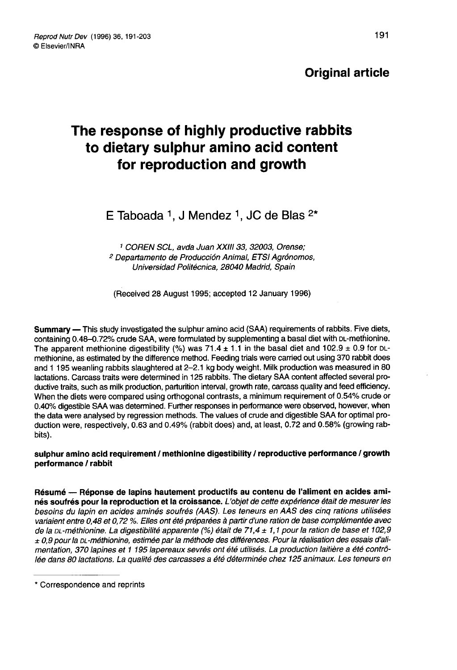# Original article

# The response of highly productive rabbits to dietary sulphur amino acid content for reproduction and growth

E Taboada <sup>1</sup>, J Mendez <sup>1</sup>, JC de Blas  $2*$ 

<sup>1</sup> COREN SCL, avda Juan XXIII 33, 32003, Orense; <sup>2</sup> Departamento de Producción Animal, ETSI Agrónomos, Uníversidad Politécnica, 28040 Madrid, Spain

(Received 28 August 1995; accepted 12 January 1996)

Summary ― This study investigated the sulphur amino acid (SAA) requirements of rabbits. Five diets, **Summary —** This study investigated the sulphur amino acid (SAA) requirements of rabbits. Five diets,<br>containing 0.48–0.72% crude SAA, were formulated by supplementing a basal diet with <sub>DL</sub>-methionine.<br>The apparent methi containing 0.48–0.72% crude SAA, were formulated by supplementing a basal diet with DL-methionine.<br>The apparent methionine digestibility (%) was 71.4  $\pm$  1.1 in the basal diet and 102.9  $\pm$  0.9 for DLmethionine, as estimated by the difference method. Feeding trials were carried out using 370 rabbit does and 1 195 weanling rabbits slaughtered at 2-2.1 kg body weight. Milk production was measured in 80 lactations. Carcass traits were determined in 125 rabbits. The dietary SAA content affected several productive traits, such as milk production, parturition interval, growth rate, carcass quality and feed efficiency. When the diets were compared using orthogonal contrasts, a minimum requirement of 0.54% crude or 0.40% digestible SAA was determined. Further responses in performance were observed, however, when the data were analysed by regression methods. The values of crude and digestible SAA for optimal production were, respectively, 0.63 and 0.49% (rabbit does) and, at least, 0.72 and 0.58% (growing rabbits).

sulphur amino acid requirement / methionine digestibility / reproductive pertormance / growth pertormance / rabbit

Résumé ― Réponse de lapins hautement productifs au contenu de l'aliment en acides aminés soufrés pour la reproduction et la croissance. L'objet de cette expérience était de mesurer les besoins du lapin en acides aminés soufrés (AAS). Les teneurs en AAS des cinq rations utilisées variaient entre 0,48 et 0, 72 %. Elles ont été préparées à partir d'une ration de base complémentée avec de la DL-méthionine. La digestibilité apparente (%) était de 71,4  $\pm$  1,1 pour la ration de base et 102,9  $\pm$  0.9 pour la pL-méthionine, estimée par la méthode des différences. Pour la réalisation des essais d'alimentation, 370 lapines et 1 195 lapereaux sevrés ont été utilisés. La production laitière a été contrôlée dans 80 lactations. La qualité des carcasses a été déterminée chez 125 animaux. Les teneurs en

<sup>\*</sup> Correspondence and reprints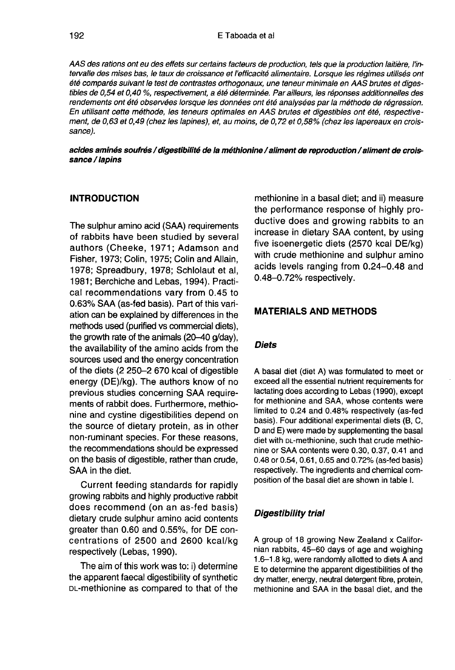AAS des rations ont eu des effets sur certains facteurs de production, tels que la production laitière, l'intervalle des mises bas, le taux de croissance et l'efficacité alimentaire. Lorsque les régimes utilisés ont été comparés suivant le test de contrastes orthogonaux, une teneur minimale en AAS brutes et digestibles de 0,54 et 0,40 %, respectivement, a été déterminée. Par ailleurs, les réponses additionnelles des<br>rendements ont été observées lorsque les données ont été analysées par la méthode de régression. En utilisant cette méthode, les teneurs optimales en AAS brutes et digestibles ont été, respectivement, de 0,63 et 0,49 (chez les lapines), et, au moins, de 0,72 et 0,58% (chez les lapereaux en croissance).

#### acides aminés soufrés / digestibilité de la méthionine / aliment de reproduction / aliment de croissance / lapins

## **INTRODUCTION**

The sulphur amino acid (SAA) requirements of rabbits have been studied by several authors (Cheeke, 1971; Adamson and Fisher, 1973; Colin, 1975; Colin and Allain, 1978; Spreadbury, 1978; Schlolaut et al, 1981; Berchiche and Lebas, 1994). Practical recommendations vary from 0.45 to 0.63% SAA (as-fed basis). Part of this variation can be explained by differences in the methods used (purified vs commercial diets), the growth rate of the animals (20-40 g/day), the availability of the amino acids from the sources used and the energy concentration of the diets (2 250-2 670 kcal of digestible energy (DE)/kg). The authors know of no previous studies concerning SAA requirements of rabbit does. Furthermore, methionine and cystine digestibilities depend on the source of dietary protein, as in other non-ruminant species. For these reasons, the recommendations should be expressed on the basis of digestible, rather than crude, SAA in the diet.

Current feeding standards for rapidly growing rabbits and highly productive rabbit does recommend (on an as-fed basis) dietary crude sulphur amino acid contents greater than 0.60 and 0.55%, for DE concentrations of 2500 and 2600 kcal/kg respectively (Lebas, 1990).

The aim of this work was to: i) determine the apparent faecal digestibility of synthetic The aim of this work was to: i) determine<br>the apparent faecal digestibility of synthetic<br>DL-methionine as compared to that of the

methionine in a basal diet; and ii) measure the performance response of highly productive does and growing rabbits to an increase in dietary SAA content, by using five isoenergetic diets (2570 kcal DE/kg) with crude methionine and sulphur amino acids levels ranging from 0.24-0.48 and 0.48-0.72% respectively.

#### MATERIALS AND METHODS

#### **Diets**

A basal diet (diet A) was formulated to meet or exceed all the essential nutrient requirements for lactating does according to Lebas (1990), except for methionine and SAA, whose contents were limited to 0.24 and 0.48% respectively (as-fed hasis). Four additional experimental diets (B, C, D and E) were made by supplementing the basal<br>D and E) were made by supplementing the basal<br>diet with DL-methionine, such that crude methio-<br>nine or SAA contents were 0.30, D and E) were made by supplementing the basal<br>diet with pL-methionine, such that crude methionine or SAA contents were 0.30, 0.37, 0.41 and 0.48 or 0.54, 0.61, 0.65 and 0.72% (as-fed basis) respectively. The ingredients and chemical composition of the basal diet are shown in table I.

#### Digestibility trial

A group of 18 growing New Zealand x Californian rabbits, 45-60 days of age and weighing 1.6-1.8 kg, were randomly allotted to diets A and E to determine the apparent digestibilities of the dry matter, energy, neutral detergent fibre, protein, methionine and SAA in the basal diet, and the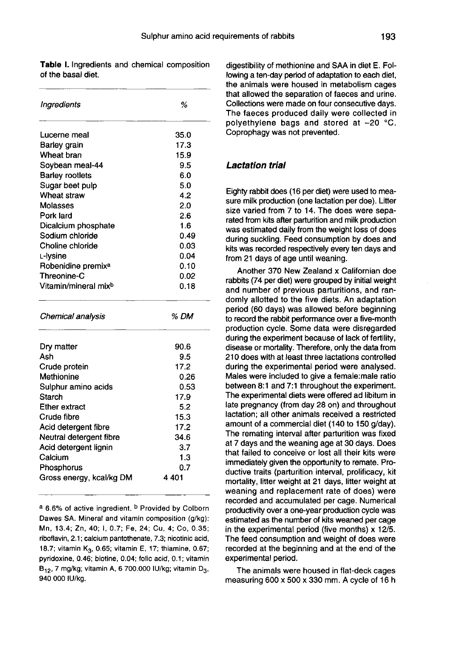Table I. Ingredients and chemical composition of the basal diet

| Ingredients                      | %    |
|----------------------------------|------|
| Lucerne meal                     | 35.0 |
| Barley grain                     | 17.3 |
| Wheat bran                       | 15.9 |
| Soybean meal-44                  | 9.5  |
| <b>Barley rootlets</b>           | 6.0  |
| Sugar beet pulp                  | 5.0  |
| Wheat straw                      | 4.2  |
| Molasses                         | 2.0  |
| Pork lard                        | 2.6  |
| Dicalcium phosphate              | 1.6  |
| Sodium chloride                  | 0.49 |
| Choline chloride                 | 0.03 |
| L-Ivsine                         | 0.04 |
| Robenidine premix <sup>a</sup>   | 0.10 |
| <b>Threonine-C</b>               | 0.02 |
| Vitamin/mineral mix <sup>b</sup> | 0.18 |
| Chemical analysis                | % DM |
| Dry matter                       | 90.6 |
| Ash                              | 9.5  |
| Crude protein                    | 17.2 |
| Methionine                       | 0.26 |
| Sulphur amino acids              | 0.53 |
| Starch                           | 17.9 |
| <b>Ether extract</b>             | 5.2  |
| Crude fibre                      | 15.3 |
| Acid detergent fibre             | 17.2 |
| Neutral detergent fibre          | 34.6 |
| Acid detergent lignin            | 3.7  |
| Calcium                          | 1.3  |
| Phosphorus                       | 0.7  |
| Gross energy, kcal/kg DM         | 4401 |
|                                  |      |

a 6.6% of active ingredient. b Provided by Colborn Dawes SA. Mineral and vitamin composition (g/kg): Mn, 13.4; Zn, 40; I, 0.7; Fe, 24; Cu, 4; Co, 0.35; riboflavin, 2.1; calcium pantothenate, 7.3; nicotinic acid, 18.7; vitamin K<sub>3</sub>, 0.65; vitamin E, 17; thiamine, 0.67; pyridoxine, 0.46; biotine, 0.04; folic acid, 0.1; vitamin B<sub>12</sub>, 7 mg/kg; vitamin A, 6 700.000 IU/kg; vitamin D<sub>3</sub>, 940 000 IU/kg.

digestibility of methionine and SAA in diet E. Following a ten-day period of adaptation to each diet, the animals were housed in metabolism cages that allowed the separation of faeces and urine. Collections were made on four consecutive days. The faeces produced daily were collected in polyethylene bags and stored at -20 °C. Coprophagy was not prevented.

#### Lactation trial

Eighty rabbit does (16 per diet) were used to measure milk production (one lactation per doe). Litter size varied from 7 to 14. The does were separated from kits after parturition and milk production was estimated daily from the weight loss of does during suckling. Feed consumption by does and kits was recorded respectively every ten days and from 21 days of age until weaning.

Another 370 New Zealand x Californian doe rabbits (74 per diet) were grouped by initial weight and number of previous parturitions, and randomly allotted to the five diets. An adaptation period (60 days) was allowed before beginning to record the rabbit performance over a five-month production cycle. Some data were disregarded during the experiment because of lack of fertility, disease or mortality. Therefore, only the data from 210 does with at least three lactations controlled during the experimental period were analysed. Males were included to give a female:male ratio between 8:1 and 7:1 throughout the experiment. The experimental diets were offered ad libitum in late pregnancy (from day 28 on) and throughout lactation; all other animals received a restricted amount of a commercial diet (140 to 150 g/day). The remating interval after parturition was fixed at 7 days and the weaning age at 30 days. Does that failed to conceive or lost all their kits were immediately given the opportunity to remate. Productive traits (parturition interval, prolificacy, kit mortality, litter weight at 21 days, litter weight at weaning and replacement rate of does) were recorded and accumulated per cage. Numerical productivity over a one-year production cycle was estimated as the number of kits weaned per cage in the experimental period (five months) x 12/5. The feed consumption and weight of does were recorded at the beginning and at the end of the experimental period.

The animals were housed in flat-deck cages measuring 600 x 500 x 330 mm. A cycle of 16 h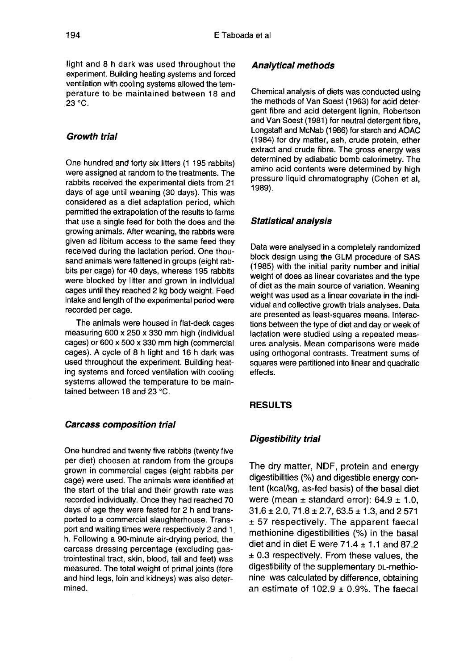light and 8 h dark was used throughout the experiment. Building heating systems and forced ventilation with cooling systems allowed the temperature to be maintained between 18 and 23 °C.

#### Growth trial

One hundred and forty six litters (1 195 rabbits) were assigned at random to the treatments. The rabbits received the experimental diets from 21 days of age until weaning (30 days). This was considered as a diet adaptation period, which permitted the extrapolation of the results to farms that use a single feed for both the does and the growing animals. After weaning, the rabbits were given ad libitum access to the same feed they received during the lactation period. One thousand animals were fattened in groups (eight rabbits per cage) for 40 days, whereas 195 rabbits were blocked by litter and grown in individual cages until they reached 2 kg body weight. Feed intake and length of the experimental period were recorded per cage.

The animals were housed in flat-deck cages measuring 600 x 250 x 330 mm high (individual cages) or 600 x 500 x 330 mm high (commercial cages). A cycle of 8 h light and 16 h dark was used throughout the experiment. Building heating systems and forced ventilation with cooling systems allowed the temperature to be maintained between 18 and 23 °C.

#### Carcass composition trial

One hundred and twenty five rabbits (twenty five per diet) choosen at random from the groups grown in commercial cages (eight rabbits per cage) were used. The animals were identified at the start of the trial and their growth rate was recorded individually. Once they had reached 70 days of age they were fasted for 2 h and transported to a commercial slaughterhouse. Transport and waiting times were respectively 2 and 1 h. Following a 90-minute air-drying period, the carcass dressing percentage (excluding gastrointestinal tract, skin, blood, tail and feet) was measured. The total weight of primal joints (fore and hind legs, loin and kidneys) was also determined.

#### Analytical methods

Chemical analysis of diets was conducted using the methods of Van Soest (1963) for acid detergent fibre and acid detergent lignin, Robertson and Van Soest (1981) for neutral detergent fibre, Longstaff and McNab (1986) for starch and AOAC (1984) for dry matter, ash, crude protein, ether extract and crude fibre. The gross energy was determined by adiabatic bomb calorimetry. The amino acid contents were determined by high pressure liquid chromatography (Cohen et al, 1989).

#### Statistical analysis

Data were analysed in a completely randomized block design using the GLM procedure of SAS (1985) with the initial parity number and initial weight of does as linear covariates and the type of diet as the main source of variation. Weaning weight was used as a linear covariate in the individual and collective growth trials analyses. Data are presented as least-squares means. Interactions between the type of diet and day or week of lactation were studied using a repeated measures analysis. Mean comparisons were made using orthogonal contrasts. Treatment sums of squares were partitioned into linear and quadratic effects.

## RESULTS

#### Digestibility trial

The dry matter, NDF, protein and energy digestibilities (%) and digestible energy content (kcal/kg, as-fed basis) of the basal diet were (mean  $\pm$  standard error): 64.9  $\pm$  1.0,  $31.6 \pm 2.0$ ,  $71.8 \pm 2.7$ ,  $63.5 \pm 1.3$ , and 2 571 ± 57 respectively. The apparent faecal methionine digestibilities (%) in the basal diet and in diet E were  $71.4 \pm 1.1$  and 87.2  $\pm$  0.3 respectively. From these values, the digestibility of the supplementary DL-methionine was calculated by difference, obtaining an estimate of  $102.9 \pm 0.9\%$ . The faecal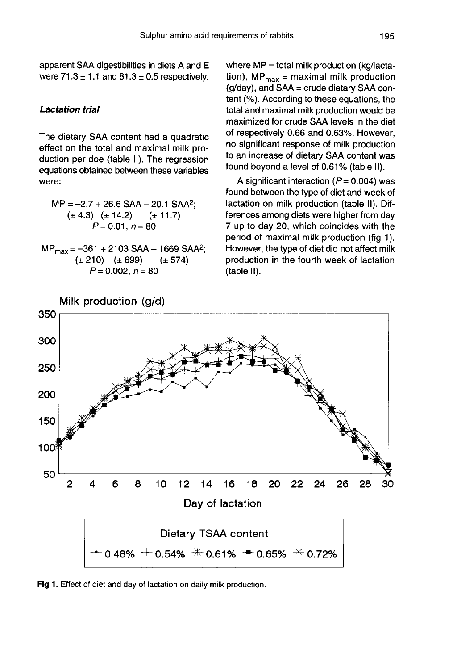apparent SAA digestibilities in diets A and E were  $71.3 \pm 1.1$  and  $81.3 \pm 0.5$  respectively.

#### Lactation trial

The dietary SAA content had a quadratic effect on the total and maximal milk production per doe (table II). The regression equations obtained between these variables were:

 $MP = -2.7 + 26.6$  SAA  $- 20.1$  SAA<sup>2</sup>;  $(\pm 4.3)$   $(\pm 14.2)$  $(\pm 11.7)$  $P = 0.01, n = 80$ 

 $MP_{max} = -361 + 2103$  SAA - 1669 SAA<sup>2</sup>;  $(\pm 210)$   $(\pm 699)$  $(\pm 574)$  $P = 0.002, n = 80$ 

where MP = total milk production (kg/lactation),  $MP_{max}$  = maximal milk production  $(q/dav)$ , and  $SAA = crude$  dietary  $SAA$  content (%). According to these equations, the total and maximal milk production would be maximized for crude SAA levels in the diet of respectively 0.66 and 0.63%. However, no significant response of milk production to an increase of dietary SAA content was found beyond a level of 0.61% (table II).

A significant interaction ( $P = 0.004$ ) was found between the type of diet and week of lactation on milk production (table II). Differences among diets were higher from day 7 up to day 20, which coincides with the period of maximal milk production (fig 1). However, the type of diet did not affect milk production in the fourth week of lactation (table II).



Fig 1. Effect of diet and day of lactation on daily milk production.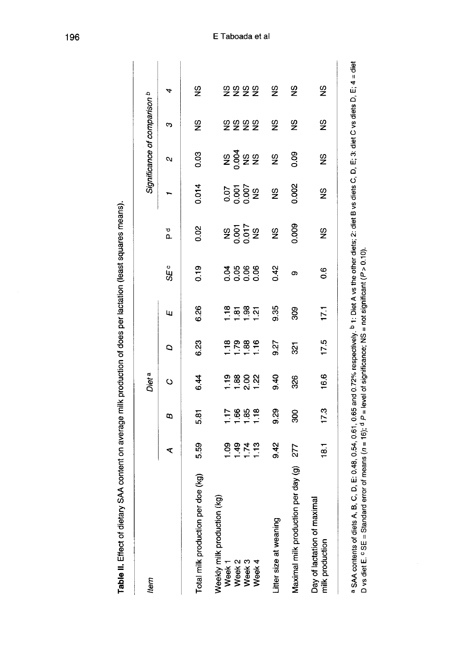| ֧֧֦֧֧֦֧֧֦֧֦֧֦֧֦֧֦֧֦֧֦֧֦֧֦֧֧֦֧֝֟֟֟֟֟֟֟֟֟֟֓֕֝֟֓֕֝֟֓֕֓֕֝֟֓֝֬֓֓ |
|-------------------------------------------------------------|
|                                                             |
|                                                             |
|                                                             |
|                                                             |
|                                                             |
|                                                             |
|                                                             |
|                                                             |
|                                                             |
|                                                             |
|                                                             |
|                                                             |
|                                                             |
|                                                             |
|                                                             |
|                                                             |
|                                                             |
|                                                             |
|                                                             |
|                                                             |
|                                                             |
|                                                             |
|                                                             |
|                                                             |
|                                                             |
|                                                             |
|                                                             |
|                                                             |
|                                                             |
|                                                             |
|                                                             |
|                                                             |
|                                                             |
|                                                             |
|                                                             |
|                                                             |
|                                                             |
|                                                             |
| :<br>:<br>:<br>j                                            |
|                                                             |
|                                                             |
|                                                             |
| i                                                           |
| ׇ֖֚֚֬֝֓                                                     |
|                                                             |
|                                                             |
|                                                             |
|                                                             |
|                                                             |
|                                                             |
|                                                             |
|                                                             |
|                                                             |
|                                                             |
|                                                             |
|                                                             |
|                                                             |
|                                                             |
|                                                             |
|                                                             |
|                                                             |
|                                                             |
|                                                             |
|                                                             |
|                                                             |
|                                                             |
|                                                             |
|                                                             |
|                                                             |
|                                                             |
|                                                             |
|                                                             |
|                                                             |
|                                                             |
|                                                             |
| :<br>:<br>:                                                 |
| l                                                           |
| $\vdots$                                                    |

| ltem                                                |       |                  | Diet <sup>a</sup>                |                   |                                                         |               |                    |                      | Significance of comparison b |               |                                                                                                                                                                       |
|-----------------------------------------------------|-------|------------------|----------------------------------|-------------------|---------------------------------------------------------|---------------|--------------------|----------------------|------------------------------|---------------|-----------------------------------------------------------------------------------------------------------------------------------------------------------------------|
|                                                     | ⋖     | B                | $\ddot{\circ}$                   | Q                 | Щ                                                       | SE °          | ъ<br>Д             |                      | N                            | ო             | 4                                                                                                                                                                     |
| doe (kg)<br>Total milk production per               | 5.59  | 5.81             | 6.44                             | 6.23              | 6.26                                                    | 0.19          | 0.02               | 0.014                | 0.03                         | $\frac{6}{5}$ | 9S                                                                                                                                                                    |
| (QX)<br>Weekly milk production<br>Week <sub>1</sub> |       |                  |                                  |                   |                                                         |               |                    |                      |                              |               |                                                                                                                                                                       |
| Week <sub>2</sub>                                   | 09972 | $7889$<br>$-289$ | ខ្លួ ខ្លួ ខ្លួ<br>÷ ÷ <u>ស</u> ÷ | $\frac{886}{128}$ | $\frac{8}{1}$ $\frac{8}{1}$ $\frac{8}{1}$ $\frac{8}{1}$ | 3888<br>0000  | <b>S</b><br>SOC 58 | 0.05<br>0.06<br>0.08 | <b>s</b> gas                 | 5555          | ទិនិន្នន                                                                                                                                                              |
| Week <sub>3</sub>                                   |       |                  |                                  |                   |                                                         |               |                    |                      |                              |               |                                                                                                                                                                       |
| Week 4                                              |       |                  |                                  |                   |                                                         |               |                    |                      |                              |               |                                                                                                                                                                       |
| Litter size at weaning                              | 9.42  | 9.29             | 0.40                             | 9.27              | 0.35                                                    | 0.42          | 9                  | $\frac{8}{2}$        | 9S                           | 9S            | 9                                                                                                                                                                     |
| per day (g)<br>Maximal milk production              | 277   | 800              | 326                              | $\overline{3}$    | 808                                                     | ග             | 0.009              | 0.002                | 0.09                         | 9S            | 9S                                                                                                                                                                    |
| Day of lactation of maximal<br>milk production      | 18.1  | 17.3             | 16.6                             | 17.5              | 171                                                     | $\frac{6}{1}$ | $\frac{6}{2}$      | $\frac{6}{2}$        | S                            | 9S            | 9<br>2                                                                                                                                                                |
| a SAA contents of diets A B                         |       |                  |                                  |                   |                                                         |               |                    |                      |                              |               | $C_1D_1F_10.48, 0.64, 0.61, 0.65, and 0.72% respectively. Diet A vs the other digits: 2: \text{diet } B vs \text{diet } C, so \text{dlet } D. E_1A = \text{dlet } D.$ |

i. ° SAA contents or olets A, B, C, D, E: 0.46, 0.34, 0.61, 0.65 and 0.72% respectively. ► 1. Diet A vs trie oliter ullet<br>D vs diet E. º SE = Standard error of means (n = 16); <sup>d</sup> P = level of significance; NS = not signific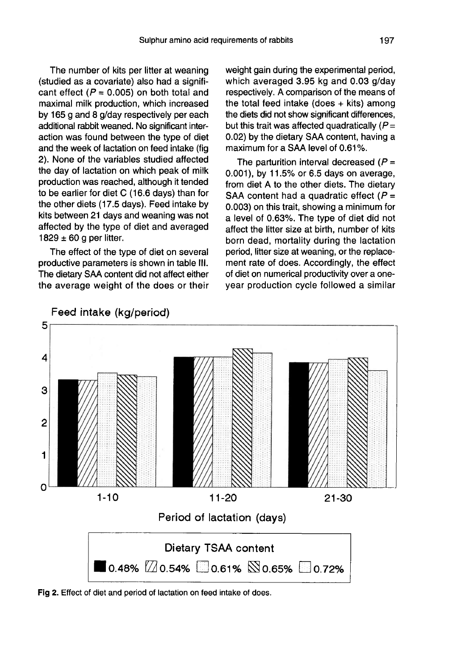The number of kits per litter at weaning (studied as a covariate) also had a significant effect ( $P = 0.005$ ) on both total and maximal milk production, which increased by 165 g and 8 g/day respectively per each additional rabbit weaned. No significant interaction was found between the type of diet and the week of lactation on feed intake (fig 2). None of the variables studied affected the day of lactation on which peak of milk production was reached, although it tended to be earlier for diet C (16.6 days) than for the other diets (17.5 days). Feed intake by kits between 21 days and weaning was not affected by the type of diet and averaged 1829  $\pm$  60 g per litter.

The effect of the type of diet on several productive parameters is shown in table 111. The dietary SAA content did not affect either the average weight of the does or their weight gain during the experimental period, which averaged 3.95 kg and 0.03 g/day respectively. A comparison of the means of the total feed intake (does  $+$  kits) among the diets did not show significant differences, but this trait was affected quadratically  $(P =$ 0.02) by the dietary SAA content, having a maximum for a SAA level of 0.61%.

The parturition interval decreased  $(P =$ 0.001), by 11.5% or 6.5 days on average, from diet A to the other diets. The dietary SAA content had a quadratic effect  $(P =$ 0.003) on this trait, showing a minimum for a level of 0.63%. The type of diet did not affect the litter size at birth, number of kits born dead, mortality during the lactation period, litter size at weaning, or the replacement rate of does. Accordingly, the effect of diet on numerical productivity over a oneyear production cycle followed a similar



Fig 2. Effect of diet and period of lactation on feed intake of does.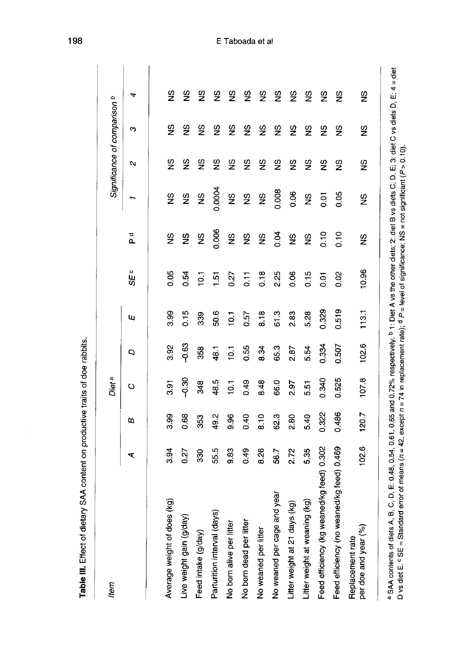| ltem                                       |       |       | Diet <sup>a</sup> |                |                |                   |                    |                    | Significance of comparison b |               |                    |  |
|--------------------------------------------|-------|-------|-------------------|----------------|----------------|-------------------|--------------------|--------------------|------------------------------|---------------|--------------------|--|
|                                            | ⋖     | ω     | ပ                 | Ο              | щ              | <b>SEc</b>        | ъ<br>Р             |                    | N                            | ω             | 4                  |  |
|                                            |       |       |                   |                |                |                   |                    |                    |                              |               |                    |  |
| Average weight of does (kg)                | 3.94  | 3.99  | 3.91              | 3.92           | 3.99           | 0.05              | 9S                 | S                  | $\frac{6}{2}$                | $\frac{9}{2}$ | 9S                 |  |
| Live weight gain (g/day)                   | 0.27  | 0.68  | ვი<br>ს           | $-0.63$        | 0.15           | 0.54              | မ္မ                | S,                 | $\frac{6}{2}$                | $\frac{6}{5}$ | $\frac{\omega}{2}$ |  |
| Feed intake (g/day)                        | 330   | 353   | 348               | 358            | 339            | 10.1              | $\frac{8}{2}$      | $\frac{8}{2}$      | $\frac{8}{2}$                | $\frac{6}{2}$ | ပ္ခ                |  |
| Parturition interval (days)                | 55.5  | 49.2  | 48.5              | 48.1           | 50.6           | $\overline{5}$    | 0.006              | 0.0004             | $\frac{8}{2}$                | $\frac{6}{2}$ | $\frac{\omega}{2}$ |  |
| No born alive per litter                   | 9.83  | 9.96  | 10.1              | $\overline{e}$ | $\overline{Q}$ | 0.27              | $\frac{\omega}{2}$ |                    | ۵S                           | င်္ဘ          | $\frac{6}{2}$      |  |
| No born dead per litter                    | 0.49  | 0.40  | 0.49              | 0.55           | 0.57           | $\overline{0.11}$ | 9N                 | 292                | Sz                           | $\frac{8}{2}$ | $\frac{6}{2}$      |  |
| No weaned per litter                       | 8.26  | 8.10  | 8.48              | 834            | 8.18           | 0.18              | $\frac{0}{2}$      | $\frac{\omega}{2}$ | 9S                           | $\frac{6}{5}$ | $\frac{8}{2}$      |  |
| No weaned per cage and year                | 56.7  | 62.3  | 66.0              | 65.3           | 61.3           | 2.25              | 0.04               | 0.008              | $\frac{6}{2}$                | $\frac{6}{2}$ | $\frac{6}{5}$      |  |
| $(\mathbf{g})$<br>Litter weight at 21 days | 2.72  | 2.80  | 2.97              | 2.87           | 2.83           | 0.06              | $\frac{0}{2}$      | 0.06               | $\frac{\omega}{2}$           | S,            | $\frac{6}{2}$      |  |
| Litter weight at weaning (kg)              | 5.35  | 5.40  | 551               | 5.54           | 5.28           | 0.15              | $\frac{\omega}{2}$ | $\frac{\omega}{2}$ | S                            | $\frac{9}{2}$ | $\frac{8}{2}$      |  |
| Feed efficiency (kg weaned/kg feed) 0.302  |       | 0.322 | 0.340             | 0.334          | 0.329          | 0.01              | 0.10               | 0.01               | $\frac{8}{2}$                | $\frac{9}{2}$ | $\frac{6}{2}$      |  |
| Feed efficiency (no weaned/kg feed) 0.469  |       | 0.486 | 0.525             | 0.507          | 0.519          | 0.02              | 0.10               | 0.05               | $\frac{6}{2}$                | $\frac{6}{2}$ | $\frac{\omega}{2}$ |  |
| per doe and year (%)<br>Replacement rate   | 102.6 | 120.7 | 107.8             | 102.6          | 113.1          | 10.96             | 9S                 | 9S                 | 9                            | $\frac{8}{2}$ | 9                  |  |

a SAA contents of diets A, B, C, D, E: 0.48, 0.54, 0.61, 0.65 and 0.72% respectively. <sup>b</sup> 1: Diet A vs the other diets; 2: diet B vs diets C, D, E; 3: diet C vs diets D, E; 4 = diet<br>D vs diet E. ° SE = Standard error of m

Table III. Effect of dietary SAA content on productive traits of doe rabbits.

198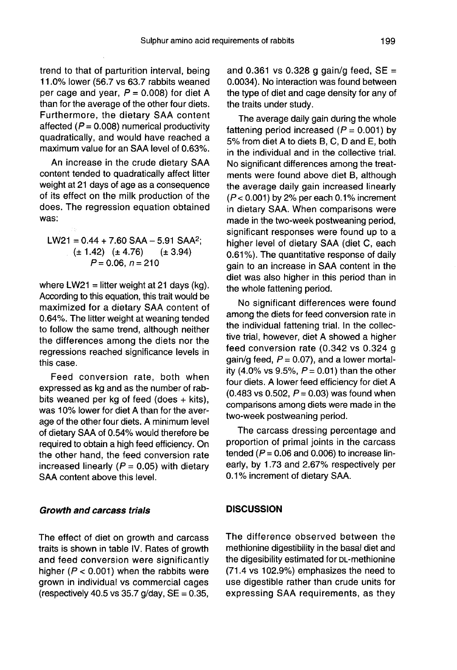trend to that of parturition interval, being 11.0% lower (56.7 vs 63.7 rabbits weaned per cage and year,  $P = 0.008$ ) for diet A than for the average of the other four diets. Furthermore, the dietary SAA content affected ( $P = 0.008$ ) numerical productivity quadratically, and would have reached a maximum value for an SAA level of 0.63%.

An increase in the crude dietary SAA content tended to quadratically affect litter weight at 21 days of age as a consequence of its effect on the milk production of the does. The regression equation obtained was:

 $LW21 = 0.44 + 7.60$  SAA - 5.91 SAA<sup>2</sup>:  $(\pm 1.42)$   $(\pm 4.76)$  $(\pm 3.94)$  $P = 0.06$ ,  $n = 210$ 

where LW21 = litter weight at 21 days (kg). According to this equation, this trait would be maximized for a dietary SAA content of 0.64%. The litter weight at weaning tended to follow the same trend, although neither the differences among the diets nor the regressions reached significance levels in this case.

Feed conversion rate, both when expressed as kg and as the number of rabbits weaned per kg of feed (does  $+$  kits), was 10% lower for diet A than for the average of the other four diets. A minimum level of dietary SAA of 0.54% would therefore be required to obtain a high feed efficiency. On the other hand, the feed conversion rate increased linearly ( $P = 0.05$ ) with dietary SAA content above this level.

#### Growth and carcass trials

The effect of diet on growth and carcass traits is shown in table IV. Rates of growth and feed conversion were significantly higher ( $P < 0.001$ ) when the rabbits were grown in individual vs commercial cages (respectively 40.5 vs 35.7 g/day,  $SE = 0.35$ ,

and 0.361 vs 0.328 g gain/g feed,  $SE =$ 0.0034). No interaction was found between the type of diet and cage density for any of the traits under study.

The average daily gain during the whole fattening period increased ( $P = 0.001$ ) by 5% from diet A to diets B, C, D and E, both in the individual and in the collective trial. No significant differences among the treatments were found above diet B, although the average daily gain increased linearly  $(P < 0.001)$  by 2% per each 0.1% increment in dietary SAA. When comparisons were made in the two-week postweaning period, significant responses were found up to a higher level of dietary SAA (diet C, each 0.61%). The quantitative response of daily gain to an increase in SAA content in the diet was also higher in this period than in the whole fattening period.

No significant differences were found among the diets for feed conversion rate in the individual fattening trial. In the collective trial, however, diet A showed a higher feed conversion rate (0.342 vs 0.324 g gain/g feed,  $P = 0.07$ ), and a lower mortality (4.0% vs 9.5%,  $P = 0.01$ ) than the other four diets. A lower feed efficiency for diet A (0.483 vs 0.502,  $P = 0.03$ ) was found when comparisons among diets were made in the two-week postweaning period.

The carcass dressing percentage and proportion of primal joints in the carcass tended ( $P = 0.06$  and 0.006) to increase linearly, by 1.73 and 2.67% respectively per 0.1% increment of dietary SAA.

#### **DISCUSSION**

The difference observed between the methionine digestibility in the basal diet and the digesibility estimated for DL-methionine (71.4 vs 102.9%) emphasizes the need to use digestible rather than crude units for expressing SAA requirements, as they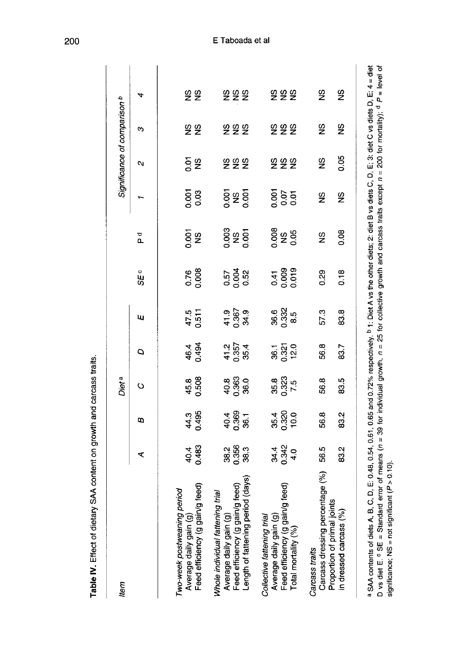| Item                                                                                                                                                                                           |                       |                         | Diet <sup>a</sup>           |                             |                             |                        |                       |                     | Significance of comparison b |                                |            |
|------------------------------------------------------------------------------------------------------------------------------------------------------------------------------------------------|-----------------------|-------------------------|-----------------------------|-----------------------------|-----------------------------|------------------------|-----------------------|---------------------|------------------------------|--------------------------------|------------|
|                                                                                                                                                                                                | ⋖                     | ε                       | $\circ$                     | ٥                           | ш                           | SE c                   | ъ<br>Р                |                     | Ν                            | ო                              | 4          |
| Feed efficiency (g gain/g feed)<br>Two-week postweaning period<br>Average daily gain (g)                                                                                                       | 40.483                | 44.3<br>0.495           | 45.8<br>0.508               | 46.4<br>0.494               | 47.5<br>0.511               | 0.76                   | 0.001                 | 0.001               | ទីនិ                         | ទី និ                          | S &        |
| eriod (days<br>Whole individual fattening trial<br>Average daily gain (g)<br>Feed efficiency (g gain/g feed)<br>Length of fattening period (days)                                              | 38.5<br>8.553<br>38.3 | $40.4$<br>0.369<br>36.1 | $40.8$<br>$0.363$<br>$36.0$ | $41.2$<br>$0.357$<br>$35.4$ | $41.9$<br>$0.367$<br>$34.9$ | 0.57<br>0.52<br>0.52   | 0.003<br>NS<br>0.001  | <b>Septe</b>        | 555                          | <b>222</b>                     | <b>222</b> |
| Feed efficiency (g gain/g feed)<br>Average daily gain (g)<br>Collective fattening trial<br>Total mortality (%)                                                                                 | 34.4<br>0.342<br>4.0  | 35.4<br>0.320<br>10.0   | 35.8<br>0.323<br>7.5        | 36.1<br>0.321<br>12.0       | 36.32<br>0.325<br>8.5       | 0.41<br>0.009<br>0.019 | 0.08<br>2.95          | 505<br>ភូមិ<br>ភូមិ | 555                          | 555                            | <b>222</b> |
| Carcass dressing percentage (%)<br>Proportion of primal joints<br>(%)<br>in dressed carcass<br>Carcass traits                                                                                  | 56.5<br>83.2          | 83.2<br>56.8            | 83.5<br>56.8                | 56.8<br>83.7                | 57.3<br>83.8                | 0.29<br>0.18           | 0.08<br>$\frac{0}{2}$ | SS<br>9S            | 0.05<br>$\frac{8}{2}$        | $\frac{6}{2}$<br>$\frac{6}{2}$ | 9S<br>9S   |
| a SAA contents of diets A, B, C, D, E: 0.48, 0.54, 0.61, 0.65 and 0.72% respectively. <sup>b</sup> 1: Diet A vs the other diets; 2: diet B vs diets C, D, E; 3: diet C vs diets D, E; 4 = diet |                       |                         |                             |                             |                             |                        |                       |                     |                              |                                |            |

Table IV. Effect of dietary SAA content on growth and carcass traits.

D vs diet E. º SE = Standard error of means (n = 39 for individual growth, n = 25 for collective growth and carcass traits except n = 200 for mortality); <sup>d</sup> P = level of<br>significance; NS = not significant (P > 0.10).

# E Taboada et al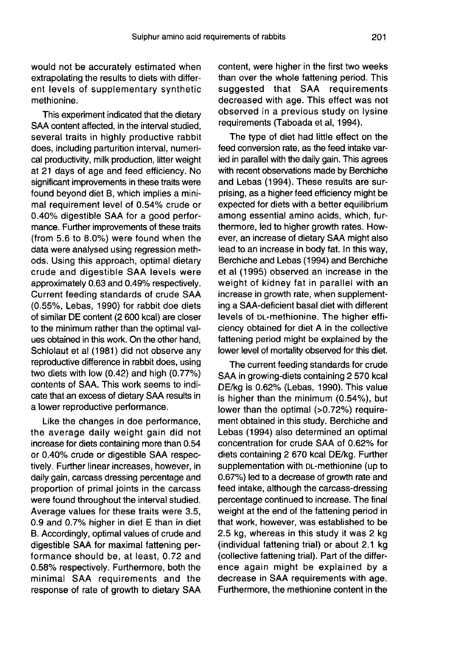would not be accurately estimated when extrapolating the results to diets with different levels of supplementary synthetic methionine.

This experiment indicated that the dietary SAA content affected, in the interval studied, several traits in highly productive rabbit does, including parturition interval, numerical productivity, milk production, litter weight at 21 days of age and feed efficiency. No significant improvements in these traits were found beyond diet B, which implies a minimal requirement level of 0.54% crude or 0.40% digestible SAA for a good perfor mance. Further improvements of these traits (from 5.6 to 8.0%) were found when the data were analysed using regression methods. Using this approach, optimal dietary crude and digestible SAA levels were approximately 0.63 and 0.49% respectively. Current feeding standards of crude SAA (0.55%, Lebas, 1990) for rabbit doe diets of similar DE content (2 600 kcal) are closer to the minimum rather than the optimal values obtained in this work. On the other hand, Schlolaut et al (1981) did not observe any reproductive difference in rabbit does, using two diets with low (0.42) and high (0.77%) contents of SAA. This work seems to indicate that an excess of dietary SAA results in a lower reproductive performance.

Like the changes in doe performance, the average daily weight gain did not increase for diets containing more than 0.54 or 0.40% crude or digestible SAA respectively. Further linear increases, however, in daily gain, carcass dressing percentage and proportion of primal joints in the carcass were found throughout the interval studied. Average values for these traits were 3.5, 0.9 and 0.7% higher in diet E than in diet B. Accordingly, optimal values of crude and digestible SAA for maximal fattening performance should be, at least, 0.72 and 0.58% respectively. Furthermore, both the minimal SAA requirements and the response of rate of growth to dietary SAA content, were higher in the first two weeks than over the whole fattening period. This suggested that SAA requirements decreased with age. This effect was not observed in a previous study on lysine requirements (Taboada et al, 1994).

The type of diet had little effect on the feed conversion rate, as the feed intake varied in parallel with the daily gain. This agrees with recent observations made by Berchiche and Lebas (1994). These results are surprising, as a higher feed efficiency might be expected for diets with a better equilibrium among essential amino acids, which, furthermore, led to higher growth rates. However, an increase of dietary SAA might also lead to an increase in body fat. In this way, Berchiche and Lebas (1994) and Berchiche et al (1995) observed an increase in the weight of kidney fat in parallel with an increase in growth rate, when supplementing a SAA-deficient basal diet with different weight of kidney fat in parallel with an<br>increase in growth rate, when supplement-<br>ing a SAA-deficient basal diet with different<br>levels of p∟-methionine. The higher effi-<br>ciency obtained for diet A in the collective ciency obtained for diet A in the collective fattening period might be explained by the lower level of mortality observed for this diet.

The current feeding standards for crude SAA in growing-diets containing 2 570 kcal DE/kg is 0.62% (Lebas, 1990). This value is higher than the minimum (0.54%), but lower than the optimal (>0.72%) requirement obtained in this study. Berchiche and Lebas (1994) also determined an optimal concentration for crude SAA of 0.62% for<br>diets containing 2 670 kcal DE/kg. Further<br>supplementation with DL-methionine (up to<br>0.67%) led to a decrease of growth rate and diets containing 2 670 kcal DE/kg. Further 0.67%) led to a decrease of growth rate and feed intake, although the carcass-dressing percentage continued to increase. The final weight at the end of the fattening period in that work, however, was established to be 2.5 kg, whereas in this study it was 2 kg (individual fattening trial) or about 2.1 kg (collective fattening trial). Part of the difference again might be explained by a decrease in SAA requirements with age. Furthermore, the methionine content in the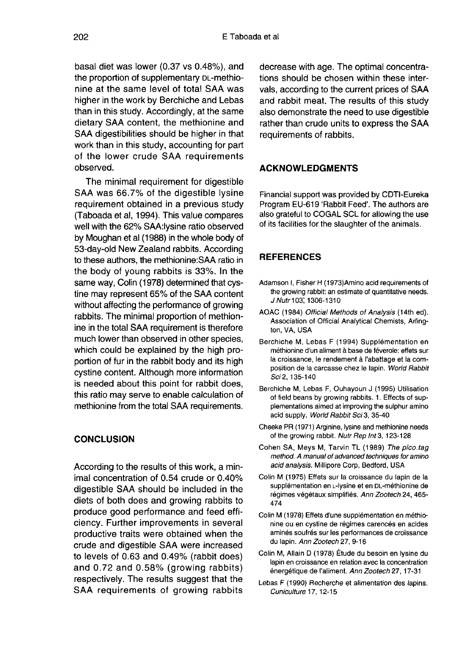basal diet was lower (0.37 vs 0.48%), and the proportion of supplementary DL-methio-<br>the proportion of supplementary DL-methionine at the same level of total SAA was higher in the work by Berchiche and Lebas than in this study. Accordingly, at the same dietary SAA content, the methionine and SAA digestibilities should be higher in that work than in this study, accounting for part of the lower crude SAA requirements observed.

The minimal requirement for digestible SAA was 66.7% of the digestible lysine requirement obtained in a previous study (Taboada et al, 1994). This value compares well with the 62% SAA:lysine ratio observed by Moughan et al (1988) in the whole body of 53-day-old New Zealand rabbits. According to these authors, the methionine:SAA ratio in the body of young rabbits is 33%. In the same way, Colin (1978) determined that cystine may represent 65% of the SAA content without affecting the performance of growing rabbits. The minimal proportion of methionine in the total SAA requirement is therefore much lower than observed in other species, which could be explained by the high proportion of fur in the rabbit body and its high cystine content. Although more information is needed about this point for rabbit does, this ratio may serve to enable calculation of methionine from the total SAA requirements.

#### **CONCLUSION**

According to the results of this work, a minimal concentration of 0.54 crude or 0.40% digestible SAA should be included in the diets of both does and growing rabbits to produce good performance and feed efficiency. Further improvements in several productive traits were obtained when the crude and digestible SAA were increased to levels of 0.63 and 0.49% (rabbit does) and 0.72 and 0.58% (growing rabbits) respectively. The results suggest that the SAA requirements of growing rabbits

decrease with age. The optimal concentrations should be chosen within these intervals, according to the current prices of SAA and rabbit meat. The results of this study also demonstrate the need to use digestible rather than crude units to express the SAA requirements of rabbits.

#### ACKNOWLEDGMENTS

Financial support was provided by CDTI-Eureka Program EU-619 'Rabbit Feed'. The authors are also grateful to COGAL SCL for allowing the use of its facilities for the slaughter of the animals.

#### REFERENCES

- Adamson I, Fisher H (1973)Amino acid requirements of the growing rabbit: an estimate of quantitative needs. J Nutr 103; 1306-1310
- AOAC (1984) Official Methods of Analysis (14th ed). Association of Official Analytical Chemists, Arlington, VA, USA
- Berchiche M, Lebas F (1994) Supplémentation en méthionine d'un aliment à base de féverole: effets sur la croissance, le rendement à l'abattage et la composition de la carcasse chez le lapin. World Rabbit Sci 2, 135-140
- Berchiche M, Lebas F, Ouhayoun J (1995) Utilisation of field beans by growing rabbits. 1. Effects of supplementations aimed at improving the sulphur amino acid supply. World Rabbit Sci 3, 35-40
- Cheeke PR (1971) Arginine, lysine and methionine needs of the growing rabbit. Nutr Rep Int 3, 123-128
- Cohen SA, Meys M, Tarvin TL (1989) The pico.tag method. A manual of advanced techniques for amino acid analysis. Millipore Corp, Bedford, USA
- Colin M (1975) Effets sur la croissance du lapin de la<br>supplémentation en ∟-lysine et en DL-méthionine de of the growing rabbit. Nutr Rep Int 3, 123-128<br>nen SA, Meys M, Tarvin TL (1989) The pico.tag<br>method. A manual of advanced techniques for amino<br>acid analysis. Millipore Corp, Bedford, USA<br>in M (1975) Effets sur la croissanc régimes végétaux simplifiés. Ann Zootech 24, 465-474
- Colin M (1978) Effets d'une supplémentation en méthionine ou en cystine de régimes carencés en acides aminés soufrés sur les performances de croissance du lapin. Ann Zootech 27, 9-16
- Colin M, Allain D (1978) Etude du besoin en lysine du lapin en croissance en relation avec la concentration énergétique de l'aliment. Ann Zootech 27, 17-31
- Lebas F (1990) Recherche et alimentation des lapins. Cuniculture 17, 12-15